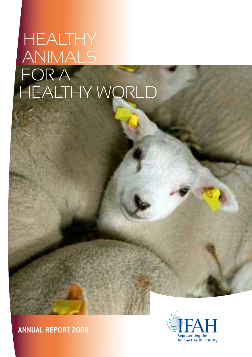# **HEALTHY** ANIMALS FOR A HEALTHY WORLD

### **annual report 2008**

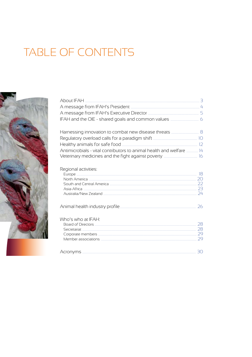# TABLE OF CONTENTS



| Antimicrobials - vital contributors to animal health and welfare  14 |    |
|----------------------------------------------------------------------|----|
|                                                                      |    |
| Regional activities:                                                 |    |
|                                                                      |    |
| Who's who at IFAH:<br>Secretariat 28                                 |    |
|                                                                      | 30 |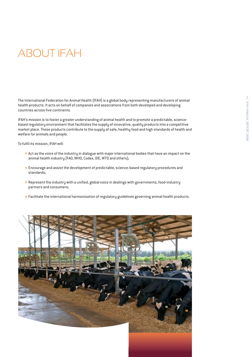# About IFAH

The International Federation for Animal Health (IFAH) is a global body representing manufacturers of animal health products. It acts on behalf of companies and associations from both developed and developing countries across five continents.

IFAH's mission is to foster a greater understanding of animal health and to promote a predictable, sciencebased regulatory environment that facilitates the supply of innovative, quality products into a competitive market place. These products contribute to the supply of safe, healthy food and high standards of health and welfare for animals and people.

To fulfil its mission, IFAH will:

- $\blacktriangleright$  Act as the voice of the industry in dialogue with major international bodies that have an impact on the animal health industry (FAO, WHO, Codex, OIE, WTO and others);
- $\blacktriangleright$  Encourage and assist the development of predictable, science-based regulatory procedures and standards;
- $\triangleright$  Represent the industry with a unified, global voice in dealings with governments, food-industry partners and consumers;
- > Facilitate the international harmonisation of regulatory guidelines governing animal health products.

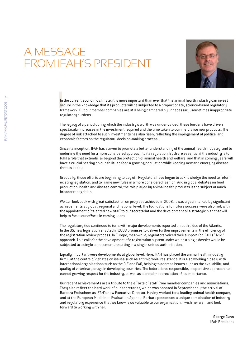## A message from IFAH's President



**I**<br>
In<br>
se<br>
fra In the current economic climate, it is more important than ever that the animal health industry can invest secure in the knowledge that its products will be subjected to a proportionate, science-based regulatory framework. But our member companies are still being hampered by unnecessary, sometimes inappropriate regulatory burdens.

The legacy of a period during which the industry's worth was under-valued, these burdens have driven spectacular increases in the investment required and the time taken to commercialise new products. The degree of risk attached to such investments has also risen, reflecting the impingement of political and economic factors on the regulatory decision-making process.

Since its inception, IFAH has striven to promote a better understanding of the animal health industry, and to underline the need for a more considered approach to its regulation. Both are essential if the industry is to fulfil a role that extends far beyond the protection of animal health and welfare, and that in coming years will have a crucial bearing on our ability to feed a growing population while keeping new and emerging disease threats at bay.

Gradually, those efforts are beginning to pay off. Regulators have begun to acknowledge the need to reform existing legislation, and to frame new rules in a more considered fashion. And in global debates on food production, health and disease control, the role played by animal health products is the subject of much broader recognition.

We can look back with great satisfaction on progress achieved in 2008. It was a year marked by significant achievements at global, regional and national level. The foundations for future success were also laid, with the appointment of talented new staff to our secretariat and the development of a strategic plan that will help to focus our efforts in coming years.

The regulatory tide continued to turn, with major developments reported on both sides of the Atlantic. In the US, new legislation enacted in 2008 promises to deliver further improvements in the efficiency of the registration review process. In Europe, meanwhile, regulators voiced their support for IFAH's "1-1-1" approach. This calls for the development of a registration system under which a single dossier would be subjected to a single assessment, resulting in a single, unified authorisation.

Equally important were developments at global level. Here, IFAH has placed the animal health industry firmly at the centre of debates on issues such as antimicrobial resistance. It is also working closely with international organisations such as the OIE and FAO, helping to address issues such as the availability and quality of veterinary drugs in developing countries. The federation's responsible, cooperative approach has earned growing respect for the industry, as well as a broader appreciation of its importance.

Our recent achievements are a tribute to the efforts of staff from member companies and associations. They also reflect the hard work of our secretariat, which was boosted in September by the arrival of Barbara Freischem as IFAH's new Executive Director. Having worked for a leading animal health company and at the European Medicines Evaluation Agency, Barbara possesses a unique combination of industry and regulatory experience that we know is so valuable to our organisation. I wish her well, and look forward to working with her.

> George Gunn IFAH President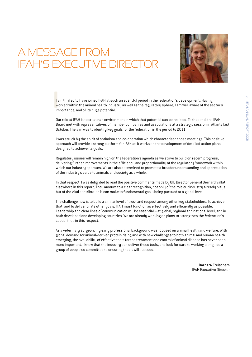# A message from **IFAH'S EXECUTIVE DIRECT**



**I**<br> **I**<br> **I**<br> **III** I am thrilled to have joined IFAH at such an eventful period in the federation's development. Having worked within the animal health industry as well as the regulatory sphere, I am well aware of the sector's importance, and of its huge potential.

Our role at IFAH is to create an environment in which that potential can be realised. To that end, the IFAH Board met with representatives of member companies and associations at a strategic session in Atlanta last October. The aim was to identify key goals for the federation in the period to 2011.

I was struck by the spirit of optimism and co-operation which characterised those meetings. This positive approach will provide a strong platform for IFAH as it works on the development of detailed action plans designed to achieve its goals.

Regulatory issues will remain high on the federation's agenda as we strive to build on recent progress, delivering further improvements in the efficiency and proportionality of the regulatory framework within which our industry operates. We are also determined to promote a broader understanding and appreciation of the industry's value to animals and society as a whole.

In that respect, I was delighted to read the positive comments made by OIE Director General Bernard Vallat elsewhere in this report. They amount to a clear recognition, not only of the role our industry already plays, but of the vital contribution it can make to fundamental goals being pursued at a global level.

The challenge now is to build a similar level of trust and respect among other key stakeholders. To achieve that, and to deliver on its other goals, IFAH must function as effectively and efficiently as possible. Leadership and clear lines of communication will be essential – at global, regional and national level, and in both developed and developing countries. We are already working on plans to strengthen the federation's capabilities in this respect.

As a veterinary surgeon, my early professional background was focused on animal health and welfare. With global demand for animal-derived protein rising and with new challenges to both animal and human health emerging, the availability of effective tools for the treatment and control of animal disease has never been more important. I know that the industry can deliver those tools, and look forward to working alongside a group of people so committed to ensuring that it will succeed.

> Barbara Freischem IFAH Executive Director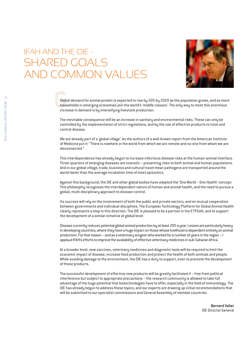## IFAH and the OIE shared goals and common values



**G**Global demand for animal protein is expected to rise by 50% by 2020 as the population grows, and as more households in emerging economies join the world's 'middle classes'. The only way to meet this enormous increase in demand is by intensifying livestock production.

The inevitable consequence will be an increase in sanitary and environmental risks. These can only be controlled by the implementation of strict regulations, and by the use of effective products to treat and control disease.

We are already part of a 'global village'. As the authors of a well-known report from the American Institute of Medicine put it: "There is nowhere in the world from which we are remote and no-one from whom we are disconnected."

This interdependence has already begun to increase infectious disease risks at the human-animal interface. Three-quarters of emerging diseases are zoonotic – presenting risks to both animal and human populations. And in our global village, trade, business and cultural travel mean pathogens are transported around the world faster than the average incubation time of most epizootics.

Against this background, the OIE and other global bodies have adopted the 'One World – One Health' concept. This philosophy recognises the interdependent nature of human and animal health, and the need to pursue a global, multi-disciplinary approach to disease control.

Its success will rely on the involvement of both the public and private sectors, and on mutual cooperation between governments and individual disciplines. The European Technology Platform for Global Animal Health clearly represents a step in this direction. The OIE is pleased to be a partner in the ETPGAH, and to support the development of a similar initiative at global level.

Disease currently reduces potential global animal production by at least 20% a year. Losses are particularly heavy in developing countries, where they have a huge impact on those whose livelihood is dependent entirely on animal production. For that reason – and as a veterinary surgeon who worked for a number of years in the region – I applaud IFAH's efforts to improve the availability of effective veterinary medicines in sub-Saharan Africa.

At a broader level, new vaccines, veterinary medicines and diagnostic tools will be required to limit the economic impact of disease, increase food production and protect the health of both animals and people. While avoiding damage to the environment, the OIE has a duty to support, even to promote the development of these products.

The successful development of effective new products will be greatly facilitated if – free from political interference but subject to appropriate precautions – the research community is allowed to take full advantage of the huge potential that biotechnologies have to offer, especially in the field of immunology. The OIE has already begun to address these topics, and our experts are drawing up initial recommendations that will be submitted to our specialist commissions and General Assembly of member countries.

> Bernard Vallat OIE Director General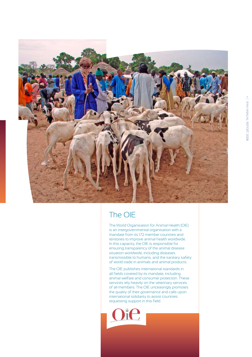

### The OIE

The World Organisation for Animal Health (OIE) is an intergovernmental organisation with a mandate from its 172 member countries and territories to improve animal health worldwide. In this capacity, the OIE is responsible for ensuring transparency of the animal disease situation worldwide, including diseases transmissible to humans, and the sanitary safety of world trade in animals and animal products.

The OIE publishes international standards in all fields covered by its mandate, including animal welfare and consumer protection. These services rely heavily on the veterinary services of all members. The OIE unceasingly promotes the quality of their governance and calls upon international solidarity to assist countries requesting support in this field.

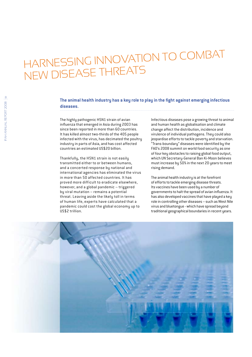# Harnessing innovation TO COMBAT new disease threats

**The animal health industry has a key role to play in the fight against emerging infectious diseases.**

The highly pathogenic H5N1 strain of avian influenza that emerged in Asia during 2003 has since been reported in more than 60 countries. It has killed almost two-thirds of the 405 people infected with the virus, has decimated the poultry industry in parts of Asia, and has cost affected countries an estimated US\$20 billion.

Thankfully, the H5N1 strain is not easily transmitted either to or between humans, and a concerted response by national and international agencies has eliminated the virus in more than 50 affected countries. It has proved more difficult to eradicate elsewhere, however, and a global pandemic – triggered by viral mutation – remains a potential threat. Leaving aside the likely toll in terms of human life, experts have calculated that a pandemic could cost the global economy up to US\$2 trillion.

Infectious diseases pose a growing threat to animal and human health as globalisation and climate change affect the distribution, incidence and virulence of individual pathogens. They could also jeopardise efforts to tackle poverty and starvation. "Trans-boundary" diseases were identified by the FAO's 2008 summit on world food security as one of four key obstacles to raising global food output, which UN Secretary-General Ban Ki-Moon believes must increase by 50% in the next 20 years to meet rising demand.

The animal health industry is at the forefront of efforts to tackle emerging disease threats. Its vaccines have been used by a number of governments to halt the spread of avian influenza. It has also developed vaccines that have played a key role in controlling other diseases – such as West Nile virus and bluetongue - which have spread beyond traditional geographical boundaries in recent years.

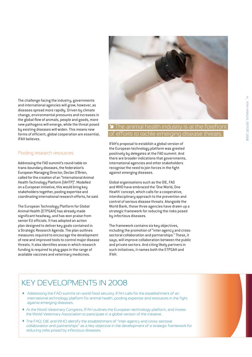

 $\blacktriangleright$  The animal health industry is at the forefront efforts to tackle emerging disease threats.

The challenge facing the industry, governments and international agencies will grow, however, as diseases spread more rapidly. Driven by climate change, environmental pressures and increases in the global flow of animals, people and goods, more new pathogens will emerge, while the threat posed by existing diseases will widen. This means new forms of efficient, global cooperation are essential, IFAH believes.

#### Pooling research resources

Addressing the FAO summit's round-table on trans-boundary diseases, the federation's European Managing Director, Declan O'Brien, called for the creation of an "International Animal Health Technology Platform (IAHTP)". Modelled on a European initiative, this would bring key stakeholders together, pooling expertise and coordinating international research efforts, he said.

The European Technology Platform for Global Animal Health (ETPGAH) has already made significant headway, and has won praise from senior EU officials. It has adopted an action plan designed to deliver key goals contained in a Strategic Research Agenda. The plan outlines measures required to encourage the development of new and improved tools to control major disease threats. It also identifies areas in which research funding is required to plug gaps in the range of available vaccines and veterinary medicines.

IFAH's proposal to establish a global version of the European technology platform was greeted positively by delegates at the FAO summit. And there are broader indications that governments, international agencies and other stakeholders recognise the need to join forces in the fight against emerging diseases.

Global organisations such as the OIE, FAO and WHO have embraced the 'One World, One Health' concept, which calls for a cooperative, interdisciplinary approach to the prevention and control of serious disease threats. Alongside the World Bank, these three agencies have drawn up a strategic framework for reducing the risks posed by infectious diseases.

The framework contains six key objectives, including the promotion of "inter-agency and crosssectoral collaboration and partnerships." These, it says, will improve collaboration between the public and private sectors. And citing likely partners in such initiatives, it names both the ETPGAH and IFAH.

### KEY DEVELOPMENTS IN 2008

- $\rightarrow$  Addressing the FAO summit on world food security, IFAH calls for the establishment of an international technology platform for animal health, pooling expertise and resources in the fight against emerging diseases.
- $\rightarrow$  At the World Veterinary Congress, IFAH outlines the European technology platform, and invites the World Veterinary Association to participate in a global version of the initiative.
- $\rightarrow$  The FAO, OIE and WHO identify the establishment of "inter-agency and cross-sectoral collaboration and partnerships" as a key objective in the development of a strategic framework for reducing risks posed by infectious diseases.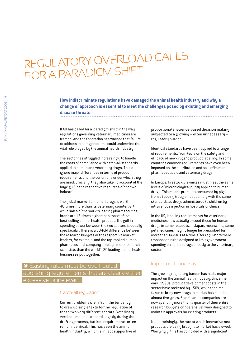# Regulatory overload calls for a paradigm shift

**How indiscriminate regulations have damaged the animal health industry and why a change of approach is essential to meet the challenges posed by existing and emerging disease threats.**

IFAH has called for a 'paradigm shift' in the way regulations governing veterinary medicines are framed. And the federation has warned that failure to address existing problems could undermine the vital role played by the animal health industry.

The sector has struggled increasingly to handle the costs of compliance with catch-all standards applied to human and veterinary drugs. These ignore major differences in terms of product requirements and the conditions under which they are used. Crucially, they also take no account of the huge gulf in the respective resources of the two industries.

The global market for human drugs is worth 40-times more than its veterinary counterpart, while sales of the world's leading pharmaceutical brand are 13-times higher than those of the best-selling animal health product. The gulf in spending power between the two sectors is equally spectacular. There is a 30-fold difference between the research budgets of the respective market leaders, for example, and the top-ranked human pharmaceutical company employs more research scientists than the world's 20 leading animal health businesses put together.

#### $\blacktriangleright$  Existing rules must be overhauled, abolishing requirements that are clearly either excessive or irrelevant.

#### Catch-all regulation

Current problems stem from the tendency to draw up single texts for the regulation of these two very different sectors. Veterinary versions may be tweaked slightly during the drafting process, but key requirements often remain identical. This has seen the animal health industry, which is in fact supportive of proportionate, science-based decision making, subjected to a growing – often unnecessary – regulatory burden.

Identical standards have been applied to a range of requirements, from tests on the safety and efficacy of new drugs to product labelling. In some countries common requirements have even been imposed on the distribution and sale of human pharmaceuticals and veterinary drugs.

In Europe, livestock pre-mixes must meet the same levels of microbiological purity applied to human drugs. This means products consumed by pigs from a feeding trough must comply with the same standards as drugs administered to children by intravenous injection in hospitals or clinics.

In the US, labelling requirements for veterinary medicines now actually exceed those for human drugs in some respects. In Japan, meanwhile, some pet medicines may no longer be prescribed for more than 14 days at a time after regulators there transposed rules designed to limit government spending on human drugs directly to the veterinary sector.

#### Impact on the industry

The growing regulatory burden has had a major impact on the animal health industry. Since the early 1990s, product development costs in the sector have rocketed by 150%, while the time taken to bring new drugs to market has risen by almost five years. Significantly, companies are now spending more than a quarter of their entire research budgets on "defensive" work designed to maintain approvals for existing products.

Not surprisingly, the rate at which innovative new products are being brought to market has slowed. Worryingly, this has coincided with a significant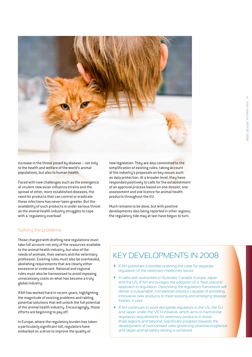

increase in the threat posed by disease – not only to the health and welfare of the world's animal populations, but also to human health.

Faced with new challenges such as the emergence of virulent new avian influenza strains and the spread of other, more established diseases, the need for products that can control or eradicate these infections has never been greater. But the availability of such products is under serious threat as the animal health industry struggles to cope with a 'regulatory overload'.

#### simplification of existing rules, taking account of the industry's proposals on key issues such as data protection. At a broader level, they have responded positively to calls for the establishment of an approval process based on one dossier, one assessment and one licence for animal health products throughout the EU.

Much remains to be done, but with positive developments also being reported in other regions, the regulatory tide may at last have begun to turn.

#### Solving the problems

Those charged with drafting new regulations must take full account not only of the resources available to the animal health industry, but also of the needs of animals, their owners and the veterinary profession. Existing rules must also be overhauled, abolishing requirements that are clearly either excessive or irrelevant. National and regional rules must also be harmonised to avoid imposing unnecessary costs on what has become a truly global industry.

IFAH has worked hard in recent years, highlighting the magnitude of existing problems and tabling potential solutions that will unlock the full potential of the animal health industry. Encouragingly, those efforts are beginning to pay off.

In Europe, where the regulatory burden has taken a particularly significant toll, regulators have embarked on a drive to improve the quality of

### KEY DEVELOPMENTS IN 2008

- $\rightarrow$  IFAH publishes a booklet outlining the case for separate regulation of the veterinary medicines sector.
- $\rightarrow$  In talks with authorities in Australia, Canada, Europe, Japan and the US, IFAH encourages the adoption of a 'best practice' approach to regulation. Optimising the regulatory framework will deliver a sustainable, competitive industry capable of providing innovative new products to meet existing and emerging disease threats, it says.
- $\rightarrow$  IFAH continues to work alongside regulators in the US, the EU and Japan under the VICH initiative, which aims to harmonise regulatory requirements for veterinary products in these three regions and beyond. Significant progress towards the development of harmonised rules governing pharmacovigilance and target animal safety testing is achieved.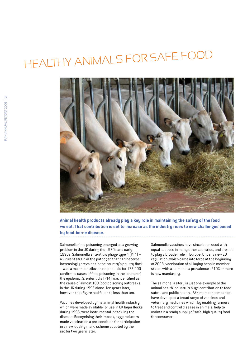# Healthy animals for safe food



**Animal health products already play a key role in maintaining the safety of the food we eat. That contribution is set to increase as the industry rises to new challenges posed by food-borne disease.**

Salmonella food poisoning emerged as a growing problem in the UK during the 1980s and early 1990s. Salmonella enteritidis phage type 4 (PT4) – a virulent strain of the pathogen that had become increasingly prevalent in the country's poultry flock – was a major contributor, responsible for 175,000 confirmed cases of food poisoning in the course of the epidemic. S. enteritidis (PT4) was identified as the cause of almost 100 food poisoning outbreaks in the UK during 1993 alone. Ten years later, however, that figure had fallen to less than ten.

Vaccines developed by the animal health industry, which were made available for use in UK layer flocks during 1996, were instrumental in tackling the disease. Recognising their impact, egg producers made vaccination a pre-condition for participation in a new 'quality mark' scheme adopted by the sector two years later.

Salmonella vaccines have since been used with equal success in many other countries, and are set to play a broader role in Europe. Under a new EU regulation, which came into force at the beginning of 2008, vaccination of all laying hens in member states with a salmonella prevalence of 10% or more is now mandatory.

The salmonella story is just one example of the animal health industry's huge contribution to food safety and public health. IFAH member companies have developed a broad range of vaccines and veterinary medicines which, by enabling farmers to treat and control disease in animals, help to maintain a ready supply of safe, high quality food for consumers.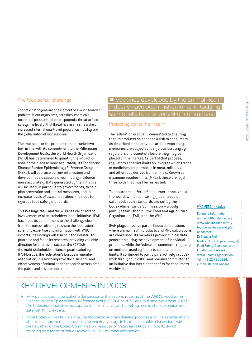#### The food safety challenge

Zoonotic pathogens are one element of a much broader problem. Micro-organisms, parasites, chemicals, toxins and pollutants all pose a potential threat to food safety. The level of that threat has risen in the wake of increased international travel, population mobility and the globalisation of food supplies.

The true scale of the problem remains unknown but, in line with its commitment to the Millennium Development Goals, the World Health Organisation (WHO) has determined to quantify the impact of food-borne disease more accurately. Its Foodborne Disease Burden Epidemiology Reference Group (FERG), will appraise current information and develop models capable of estimating incidence more accurately. Data generated by the initiative will be used, in particular to governments, to help plan prevention and control measures, and to increase levels of awareness about the need for rigorous food safety standards.

This is a huge task, and the WHO has called for the involvement of all stakeholders in the initiative. IFAH has made its commitment to the challenge clear from the outset, offering to share the federation's scientific expertise and information with WHO experts. Its findings will also help the industry to prioritise and focus its research, providing valuable direction for initiatives such as the ETPGAH – the multi-stakeholder alliance spearheaded by IFAH-Europe, the federation's European member association, in a bid to improve the efficiency and effectiveness of animal health research across both the public and private sectors.

### Y Vaccines developed by the animal health industry have been instrumental in tackling salmonella for the benefit of consumers.

#### Protecting consumer health

The federation is equally committed to ensuring that its products do not pose a risk to consumers. As described in the previous article, veterinary medicines are subjected to rigorous scrutiny by regulators and scientists before they may be placed on the market. As part of that process, regulators set strict limits on levels at which traces of medicines are permitted in meat, milk, eggs and other food derived from animals. Known as maximum residue limits (MRLs), these are legal thresholds that must be respected.

To ensure the safety of consumers throughout the world, while facilitating global trade of safe food, such standards are set by the Codex Alimentarius Commission – a body jointly established by the Food and Agriculture Organisation (FAO) and the WHO.

IFAH plays an active part in Codex deliberations where animal health products and MRL calculations are concerned. Its members provide clinical data generated during the development of individual products, while the federation comments regularly on methods used by Codex to calculate residue limits. It continued to participate actively in Codex work throughout 2008, and remains committed to an initiative that has clear benefits for consumers worldwide.

#### WHO FERG-Initiative

For more information on the FERG initiative see www.who.int/foodsafety/ foodborne\_disease/ferg/en or contact: Dr Claudia Stein, Medical Officer (Epidemiologist) Food Safety, Zoonoses and Foodborne Diseases, World Health Organisation, Tel.: +41 22 791 3234, e-mail: steinc@who.int

### KEY DEVELOPMENTS IN 2008

- $\rightarrow$  IFAH participates in the stakeholder session at the second meeting of the WHO's Foodborne Disease Burden Epidemiology Reference Group (FERG), held in Geneva during November 2008. The federation underlines its support for the initiative, and its willingness to share expertise and data with WHO experts.
- $\rightarrow$  In the Codex Alimentarius arena, the federation submits detailed proposals on the establishment of practical maximum residue limits for veterinary drugs in food. It also holds discussions with the new chair of the Codex Committee on Residues of Veterinary Drugs in Food (CCRVDF), touching on a range of issues relevant to IFAH member companies.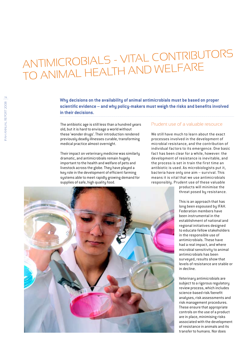# Antimicrobials - vital contributors to animal health and welfare

**Why decisions on the availability of animal antimicrobials must be based on proper scientific evidence – and why policy-makers must weigh the risks and benefits involved in their decisions.**

The antibiotic age is still less than a hundred years old, but it is hard to envisage a world without these 'wonder drugs'. Their introduction rendered previously deadly illnesses curable, transforming medical practice almost overnight.

Their impact on veterinary medicine was similarly dramatic, and antimicrobials remain hugely important to the health and welfare of pets and livestock across the globe. They have played a key role in the development of efficient farming systems able to meet rapidly growing demand for supplies of safe, high quality food.

#### Prudent use of a valuable resource

We still have much to learn about the exact processes involved in the development of microbial resistance, and the contribution of individual factors to its emergence. One basic fact has been clear for a while, however: the development of resistance is inevitable, and the process is set in train the first time an antibiotic is used. As microbiologists put it, bacteria have only one aim – survival. This means it is vital that we use antimicrobials responsibly. Prudent use of these valuable



products will minimise the threat posed by resistance.

This is an approach that has long been espoused by IFAH. Federation members have been instrumental in the establishment of national and regional initiatives designed to educate fellow stakeholders in the responsible use of antimicrobials. These have had a real impact, and where microbial sensitivity to animal antimicrobials has been surveyed, results show that levels of resistance are stable or in decline.

Veterinary antimicrobials are subject to a rigorous regulatory review process, which includes science-based risk/benefit analyses, risk assessments and risk management procedures. These ensure that appropriate controls on the use of a product are in place, minimising risks associated with the development of resistance in animals and its transfer to humans. Nor does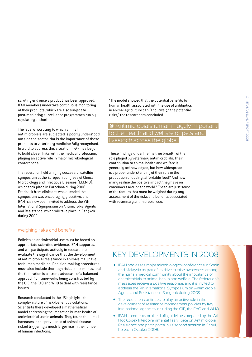scrutiny end once a product has been approved. IFAH members undertake continuous monitoring of their products, which are also subject to post-marketing surveillance programmes run by regulatory authorities.

The level of scrutiny to which animal antimicrobials are subjected is poorly understood outside the sector. Nor is the importance of these products to veterinary medicine fully recognised. In a bid to address this situation, IFAH has begun to build closer links with the medical profession, playing an active role in major microbiological conferences.

The federation held a highly successful satellite symposium at the European Congress of Clinical Microbiology and Infectious Diseases (ECCMID), which took place in Barcelona during 2008. Feedback from clinicians who attended the symposium was encouragingly positive, and IFAH has now been invited to address the 7th International Symposium on Antimicrobial Agents and Resistance, which will take place in Bangkok during 2009.

#### Weighing risks and benefits

Policies on antimicrobial use must be based on appropriate scientific evidence. IFAH supports, and will participate actively in research to evaluate the significance that the development of antimicrobial resistance in animals may have for human medicine. Decision-making procedures must also include thorough risk assessments, and the federation is a strong advocate of a balanced approach to frameworks being constructed by the OIE, the FAO and WHO to deal with resistance issues.

Research conducted in the US highlights the complex nature of risk/benefit calculations. Scientists there developed a mathematical model addressing the impact on human health of antimicrobial use in animals. They found that small increases in the prevalence of animal disease risked triggering a much larger rise in the number of human infections.

"The model showed that the potential benefits to human health associated with the use of antibiotics in animal agriculture can far outweigh the potential risks," the researchers concluded.

### Antimicrobials remain hugely important to the health and welfare of pets and livestock across the globe.

These findings underline the true breadth of the role played by veterinary antimicrobials. Their contribution to animal health and welfare is generally acknowledged, but how widespread is a proper understanding of their role in the production of quality, affordable food? And how many realise the positive impact they have on consumers around the world? These are just some of the factors that must be weighed during any assessment of the risks and benefits associated with veterinary antimicrobial use.

### KEY DEVELOPMENTS IN 2008

- $\rightarrow$  IFAH addresses major microbiological conferences in Spain and Malaysia as part of its drive to raise awareness among the human medical community about the importance of antimicrobials to animal health and welfare. The federation's messages receive a positive response, and it is invited to address the 7th International Symposium on Antimicrobial Agents and Resistance in Bangkok during 2009.
- $\rightarrow$  The federation continues to play an active role in the development of resistance management policies by key international agencies including the OIE, the FAO and WHO.
- $\rightarrow$  IFAH comments on the draft guidelines prepared by the Ad-Hoc Codex Intergovernmental Task Force on Antimicrobial Resistance and participates in its second session in Seoul, Korea, in October 2008.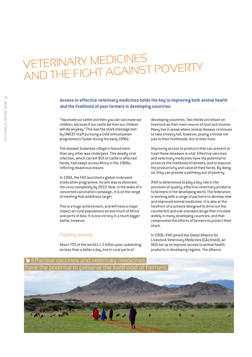# Veterinary medicines and the fight against poverty

#### **Access to effective veterinary medicines holds the key to improving both animal health and the livelihood of poor farmers in developing countries.**

"Vaccinate our cattle and then you can vaccinate our children, because if our cattle die then our children will die anyway." This was the stark message met by UNICEF staff pursuing a child immunisation programme in Sudan during the early 1990s.

The disease Sudanese villagers feared more than any other was rinderpest. This deadly viral infection, which can kill 90% of cattle in affected herds, had swept across Africa in the 1980s, inflicting disastrous losses.

In 1994, the FAO launched a global rinderpest eradication programme. Its aim was to eliminate the virus completely by 2010. Now, in the wake of a concerted vaccination campaign, it is on the verge of meeting that ambitious target.

This is a huge achievement, and will have a major impact on rural populations across much of Africa and parts of Asia. It is one victory in a much bigger battle, however.

#### Fighting poverty

About 75% of the world's 1.5 billion poor, subsisting on less than a dollar a day, live in rural parts of

developing countries. Two-thirds are reliant on livestock as their main source of food and income. Many live in areas where animal disease continues to take a heavy toll, however, posing a threat not just to their livelihoods, but to their lives.

Improving access to products that can prevent or treat these diseases is vital. Effective vaccines and veterinary medicines have the potential to preserve the livelihood of farmers, and to improve the productivity and value of their herds. By doing so, they can provide a pathway out of poverty.

IFAH is determined to play a key role in the provision of quality, effective veterinary products to farmers in the developing world. The federation is working with a range of partners to develop new and improved animal medicines. It is also at the forefront of a scheme designed to drive out the counterfeit and sub-standard drugs that circulate widely in many developing countries, and that compromise the efforts of farmers to protect their stock.

In 2008, IFAH joined the Global Alliance for Livestock Veterinary Medicines (GALVmed), an NGO set up to improve access to animal health products in developing regions. The alliance

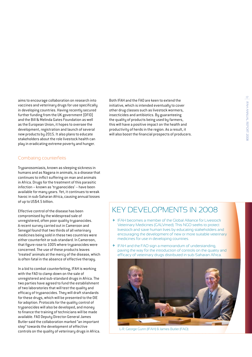aims to encourage collaboration on research into vaccines and veterinary drugs for use specifically in developing countries. Having recently secured further funding from the UK government (DFID) and the Bill & Melinda Gates Foundation as well as the European Union, it hopes to oversee the development, registration and launch of several new products by 2015. It also plans to educate stakeholders about the role livestock health can play in eradicating extreme poverty and hunger.

#### Combating counterfeits

Trypanosomiasis, known as sleeping sickness in humans and as Nagana in animals, is a disease that continues to inflict suffering on man and animals in Africa. Drugs for the treatment of this parasitic infection – known as 'trypanocides' – have been available for many years. Yet, it continues to wreak havoc in sub-Saharan Africa, causing annual losses of up to US\$4.5 billion.

Effective control of the disease has been compromised by the widespread sale of unregistered, often poor quality trypanocides. A recent survey carried out in Cameroon and Senegal found that two thirds of all veterinary medicines being sold in these two countries were either counterfeit or sub-standard. In Cameroon, that figure rose to 100% where trypanocides were concerned. The use of these products leaves 'treated' animals at the mercy of the disease, which is often fatal in the absence of effective therapy.

In a bid to combat counterfeiting, IFAH is working with the FAO to clamp down on the sale of unregistered and sub-standard drugs in Africa. The two parties have agreed to fund the establishment of two laboratories that will test the quality and efficacy of trypanocides. They will draft standards for these drugs, which will be presented to the OIE for adoption. Protocols for the quality control of trypanocides will also be developed, and money to finance the training of technicians will be made available. FAO Deputy Director-General James Butler said the collaboration marked "an important step" towards the development of effective controls on the quality of veterinary drugs in Africa. Both IFAH and the FAO are keen to extend the initiative, which is intended eventually to cover other drug classes such as livestock wormers, insecticides and antibiotics. By guaranteeing the quality of products being used by farmers, this will have a positive impact on the health and productivity of herds in the region. As a result, it will also boost the financial prospects of producers.

### KEY DEVELOPMENTS IN 2008

- $\rightarrow$  IFAH becomes a member of the Global Alliance for Livestock Veterinary Medicines (GALVmed). This NGO seeks to protect livestock and save human lives by educating stakeholders and encouraging the development of new or more suitable veterinary medicines for use in developing countries.
- $\rightarrow$  IFAH and the FAO sign a memorandum of understanding, paving the way for the introduction of controls on the quality and efficacy of veterinary drugs distributed in sub-Saharan Africa.



L-R: George Gunn (IFAH) & James Butler (FAO)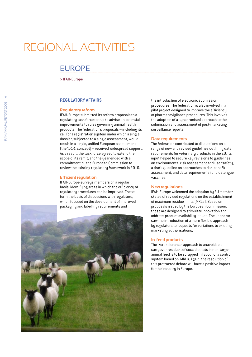## Regional activities

### **EUROPE**

> IFAH-Europe

#### **Regulatory Affairs**

#### **Regulatory reform**

IFAH-Europe submitted its reform proposals to a regulatory task force set up to advise on potential improvements to rules governing animal health products. The federation's proposals – including its call for a registration system under which a single dossier, subjected to a single assessment, would result in a single, unified European assessment (the '1-1-1' concept) – received widespread support. As a result, the task force agreed to extend the scope of its remit, and the year ended with a commitment by the European Commission to review the existing regulatory framework in 2010.

#### **Efficient regulation**

IFAH-Europe surveys members on a regular basis, identifying areas in which the efficiency of regulatory procedures can be improved. These form the basis of discussions with regulators, which focused on the development of improved packaging and labelling requirements and



the introduction of electronic submission procedures. The federation is also involved in a pilot project designed to improve the efficiency of pharmacovigilance procedures. This involves the adoption of a synchronised approach to the submission and assessment of post-marketing surveillance reports.

#### **Data requirements**

The federation contributed to discussions on a range of new and revised guidelines outlining data requirements for veterinary products in the EU. Its input helped to secure key revisions to guidelines on environmental risk assessment and user safety, a draft guideline on approaches to risk-benefit assessment, and data requirements for bluetongue vaccines.

#### **New regulations**

IFAH-Europe welcomed the adoption by EU member states of revised regulations on the establishment of maximum residue limits (MRLs). Based on proposals issued by the European Commission, these are designed to stimulate innovation and address product availability issues. The year also saw the introduction of a more flexible approach by regulators to requests for variations to existing marketing authorisations.

#### **In-feed products**

The 'zero tolerance' approach to unavoidable carryover residues of coccidiostats in non-target animal feed is to be scrapped in favour of a control system based on MRLs. Again, the resolution of this protracted debate will have a positive impact for the industry in Europe.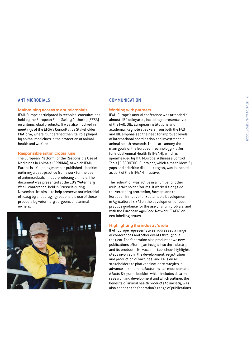#### **Ant i m icrob ials**

#### **Maintaining access to antimicrobials**

IFAH-Europe participated in technical consultations held by the European Food Safety Authority (EFSA) on antimicrobial products. It was also involved in meetings of the EFSA's Consultative Stakeholder Platform, where it underlined the vital role played by animal medicines in the protection of animal health and welfare.

#### **Responsible antimicrobial use**

The European Platform for the Responsible Use of Medicines in Animals (EPRUMA), of which IFAH-Europe is a founding member, published a booklet outlining a best-practice framework for the use of antimicrobials in food-producing animals. The document was presented at the EU's 'Veterinary Week' conference, held in Brussels during November. Its aim is to help preserve antimicrobial efficacy by encouraging responsible use of these products by veterinary surgeons and animal owners.



#### **Commun icat ion**

#### **Working with partners**

IFAH-Europe's annual conference was attended by almost 150 delegates, including representatives of the FAO, OIE, European institutions and academia. Keynote speakers from both the FAO and OIE emphasised the need for improved levels of international coordination and investment in animal health research. These are among the main goals of the European Technology Platform for Global Animal Health (ETPGAH), which is spearheaded by IFAH-Europe. A Disease Control Tools (DISCONTOOLS) project, which aims to identify gaps and prioritise disease targets, was launched as part of the ETPGAH initiative.

The federation was active in a number of other multi-stakeholder forums. It worked alongside the veterinary profession, farmers and the European Initiative for Sustainable Development in Agriculture (EISA) on the development of bestpractice guidance for the use of antimicrobials, and with the European Agri-Food Network (EAFN) on eco-labelling issues.

#### **Highlighting the industry's role**

IFAH-Europe representatives addressed a range of conferences and other events throughout the year. The federation also produced two new publications offering an insight into the industry and its products. Its vaccines fact sheet highlights steps involved in the development, registration and production of vaccines, and calls on all stakeholders to plan vaccination strategies in advance so that manufacturers can meet demand. A facts & figures booklet, which includes data on research and development and which outlines the benefits of animal health products to society, was also added to the federation's range of publications.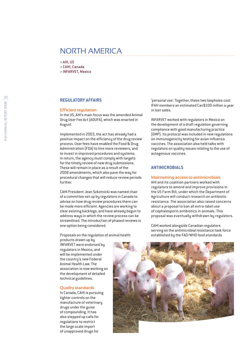### North America

> AHI, US > CAHI, Canada > INFARVET, Mexico

#### **Regulatory Affairs**

#### **Efficient regulation**

In the US, AHI's main focus was the amended Animal Drug User Fee Act (ADUFA), which was enacted in August.

Implemented in 2003, the act has already had a positive impact on the efficiency of the drug review process. User fees have enabled the Food & Drug Administration (FDA) to hire more reviewers, and to invest in improved procedures and systems. In return, the agency must comply with targets for the timely review of new drug submissions. These will remain in place as a result of the 2008 amendments, which also pave the way for procedural changes that will reduce review periods further.

CAHI President Jean Szkotnicki was named chair of a committee set up by regulators in Canada to advise on how drug review procedures there can be made more efficient. Agencies are working to clear existing backlogs, and have already begun to address ways in which the review process can be streamlined. The introduction of phased reviews is one option being considered.

Proposals on the regulation of animal health

products drawn up by INFARVET were endorsed by regulators in Mexico, and will be implemented under the country's new Federal Animal Health Law. The association is now working on the development of detailed technical guidelines.

#### **Quality standards**

In Canada, CAHI is pursuing tighter controls on the manufacture of veterinary drugs under the guise of compounding. It has also stepped up calls for regulations to restrict the large scale import of unapproved drugs for

'personal use'. Together, these two loopholes cost IFAH members an estimated Can\$100 million a year in lost sales.

INFARVET worked with regulators in Mexico on the development of a draft regulation governing compliance with good manufacturing practice (GMP). Its protocol was included in new regulations on immunogenicity testing for avian influenza vaccines. The association also held talks with regulators on quality issues relating to the use of autogenous vaccines.

#### **Antimicrobials**

#### **Maintaining access to antimicrobials**

AHI and its coalition partners worked with regulators to amend and improve provisions in the US Farm Bill, under which the Department of Agriculture will conduct research on antibiotic resistance. The association also raised concerns about a proposal to ban all extra-label use of cephalosporin antibiotics in animals. This proposal was eventually withdrawn by regulators.

CAHI worked alongside Canadian regulators serving on the antimicrobial resistance task force established by the FAO/WHO food standards

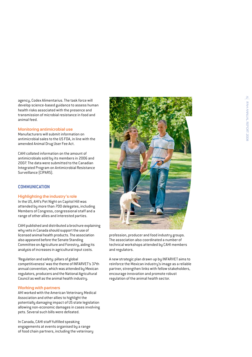$21$ 

IFAH annual report 2008

**IFAH ANNUAL REPORT 2008** 

agency, Codex Alimentarius. The task force will develop science-based guidance to assess human health risks associated with the presence and transmission of microbial resistance in food and animal feed.

#### **Monitoring antimicrobial use**

Manufacturers will submit information on antimicrobial sales to the US FDA, in line with the amended Animal Drug User Fee Act.

CAHI collated information on the amount of antimicrobials sold by its members in 2006 and 2007. The data were submitted to the Canadian Integrated Program on Antimicrobial Resistance Surveillance (CIPARS).

#### **Communication**

#### **Highlighting the industry's role**

In the US, AHI's Pet Night on Capitol Hill was attended by more than 700 delegates, including Members of Congress, congressional staff and a range of other allies and interested parties.

CAHI published and distributed a brochure explaining why vets in Canada should support the use of licensed animal health products. The association also appeared before the Senate Standing Committee on Agriculture and Forestry, aiding its analysis of increases in agricultural input costs.

'Regulation and safety: pillars of global competitiveness' was the theme of INFARVET's 37th annual convention, which was attended by Mexican regulators, producers and the National Agricultural Council as well as the animal health industry.

#### **Working with partners**

AHI worked with the American Veterinary Medical Association and other allies to highlight the potentially damaging impact of US state legislation allowing non-economic damages in cases involving pets. Several such bills were defeated.

In Canada, CAHI staff fulfilled speaking engagements at events organised by a range of food chain partners, including the veterinary



The association also coordinated a number of technical workshops attended by CAHI members and regulators.

A new strategic plan drawn up by INFARVET aims to reinforce the Mexican industry's image as a reliable partner, strengthen links with fellow stakeholders, encourage innovation and promote robust regulation of the animal health sector.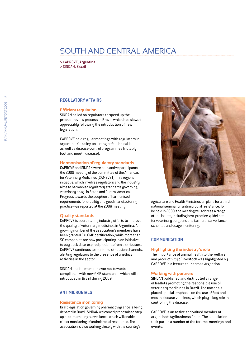### South and Central America

> CAPROVE, Argentina > SINDAN, Brazil

#### **Regulatory Affairs**

#### **Efficient regulation**

SINDAN called on regulators to speed up the product review process in Brazil, which has slowed appreciably following the introduction of new legislation.

CAPROVE held regular meetings with regulators in Argentina, focusing on a range of technical issues as well as disease control programmes (notably foot and mouth disease).

#### **Harmonisation of regulatory standards**

CAPROVE and SINDAN were both active participants at the 2008 meeting of the Committee of the Americas for Veterinary Medicines (CAMEVET). This regional initiative, which involves regulators and the industry, aims to harmonise regulatory standards governing veterinary drugs in South and Central America. Progress towards the adoption of harmonised requirements for stability and good manufacturing practice was reported at the 2008 meeting.

#### **Quality standards**

CAPROVE is coordinating industry efforts to improve the quality of veterinary medicines in Argentina. A growing number of the association's members have been granted full GMP certification, while more than 50 companies are now participating in an initiative to buy back date-expired products from distributors. CAPROVE continues to monitor distribution channels, alerting regulators to the presence of unethical activities in the sector.

SINDAN and its members worked towards compliance with new GMP standards, which will be introduced in Brazil during 2009.

#### **Antimicrobials**

#### **Resistance monitoring**

Draft legislation governing pharmacovigilance is being debated in Brazil. SINDAN welcomed proposals to step up post-marketing surveillance, which will enable closer monitoring of antimicrobial resistance. The association is also working closely with the country's



Agriculture and Health Ministries on plans for a third national seminar on antimicrobial resistance. To be held in 2009, the meeting will address a range of key issues, including best-practice guidelines for veterinary surgeons and farmers, surveillance schemes and usage monitoring.

#### **Communication**

#### **Highlighting the industry's role**

The importance of animal health to the welfare and productivity of livestock was highlighted by CAPROVE in a lecture tour across Argentina.

#### **Working with partners**

SINDAN published and distributed a range of leaflets promoting the responsible use of veterinary medicines in Brazil. The materials placed special emphasis on the use of foot and mouth disease vaccines, which play a key role in controlling the disease.

CAPROVE is an active and valued member of Argentina's Agribusiness Chain. The association took part in a number of the forum's meetings and events.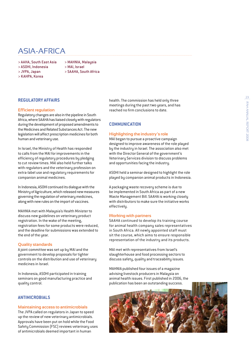### Asia-Africa

- > AAHA, South East Asia > MAHNIA, Malaysia
- 
- > ASOHI, Indonesia > MAI, Israel
- > KAHPA, Korea
- > JVPA, Japan > SAAHA, South Africa

#### **Regulatory Affairs**

#### **Efficient regulation**

Regulatory changes are also in the pipeline in South Africa, where SAAHA has liaised closely with regulators during the development of proposed amendments to the Medicines and Related Substances Act. The new legislation will affect prescription medicines for both human and veterinary use.

In Israel, the Ministry of Health has responded to calls from the MAI for improvements in the efficiency of regulatory procedures by pledging to cut review times. MAI also held further talks with regulators and the veterinary profession on extra-label use and regulatory requirements for companion animal medicines.

In Indonesia, ASOHI continued its dialogue with the Ministry of Agriculture, which released new measures governing the regulation of veterinary medicines, along with new rules on the import of vaccines.

MAHNIA met with Malaysia's Health Minister to discuss new guidelines on veterinary product registration. In the wake of the meeting, registration fees for some products were reduced, and the deadline for submissions was extended to the end of the year.

#### **Quality standards**

A joint committee was set up by MAI and the government to develop proposals for tighter controls on the distribution and use of veterinary medicines in Israel.

In Indonesia, ASOHI participated in training seminars on good manufacturing practice and quality control.

#### **Antimicrobials**

#### **Maintaining access to antimicrobials**

The JVPA called on regulators in Japan to speed up the review of new veterinary antimicrobials. Approvals have been put on hold while the Food Safety Commission (FSC) reviews veterinary uses of antimicrobials deemed important in human

health. The commission has held only three meetings during the past two years, and has reached no firm conclusions to date.

#### **Communication**

#### **Highlighting the industry's role**

MAI began to pursue a proactive campaign designed to improve awareness of the role played by the industry in Israel. The association also met with the Director General of the government's Veterinary Services division to discuss problems and opportunities facing the industry.

ASOHI held a seminar designed to highlight the role played by companion animal products in Indonesia.

A packaging waste recovery scheme is due to be implemented in South Africa as part of a new Waste Management Bill. SAAHA is working closely with distributors to make sure the initiative works effectively.

#### **Working with partners**

SAAHA continued to develop its training course for animal health company sales representatives in South Africa. All newly appointed staff must sit the course, which aims to ensure responsible representation of the industry and its products.

MAI met with representatives from Israel's slaughterhouse and food processing sectors to discuss safety, quality and traceability issues.

MAHNIA published four issues of a magazine advising livestock producers in Malaysia on animal health issues. First published in 2006, the publication has been an outstanding success.

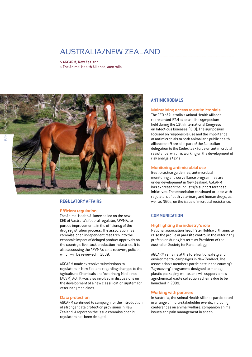### Australia/New Zealand

> AGCARM, New Zealand > The Animal Health Alliance, Australia



#### **Regulatory Affairs**

#### **Efficient regulation**

The Animal Health Alliance called on the new CEO of Australia's federal regulator, APVMA, to pursue improvements in the efficiency of the drug registration process. The association has commissioned independent research into the economic impact of delayed product approvals on the country's livestock production industries. It is also assessing the APVMA's cost-recovery policies, which will be reviewed in 2009

AGCARM made extensive submissions to regulators in New Zealand regarding changes to the Agricultural Chemicals and Veterinary Medicines (ACVM) Act. It was also involved in discussions on the development of a new classification system for veterinary medicines.

#### **Data protection**

AGCARM continued to campaign for the introduction of stronger data protection provisions in New Zealand. A report on the issue commissioned by regulators has been delayed.

#### **Antimicrobials**

#### **Maintaining access to antimicrobials**

The CEO of Australia's Animal Health Alliance represented IFAH at a satellite symposium held during the 13th International Congress on Infectious Diseases (ICID). The symposium focused on responsible use and the importance of antimicrobials to both animal and public health. Alliance staff are also part of the Australian delegation to the Codex task force on antimicrobial resistance, which is working on the development of risk analysis texts.

#### **Monitoring antimicrobial use**

Best-practice guidelines, antimicrobial monitoring and surveillance programmes are under development in New Zealand. AGCARM has expressed the industry's support for these initiatives. The association continued to liaise with regulators of both veterinary and human drugs, as well as NGOs, on the issue of microbial resistance.

#### **Communication**

#### **Highlighting the industry's role**

National association head Peter Holdsworth aims to raise the profile of parasite control in the veterinary profession during his term as President of the Australian Society for Parasitology.

AGCARM remains at the forefront of safety and environmental campaigns in New Zealand. The association's members participate in the country's 'Agrecovery' programme designed to manage plastic packaging waste, and will support a new agrichemical waste collection scheme due to be launched in 2009.

#### **Working with partners**

In Australia, the Animal Health Alliance participated in a range of multi-stakeholder events, including conferences on animal welfare, companion animal issues and pain management in sheep.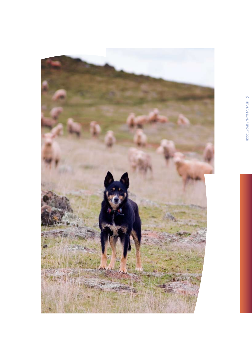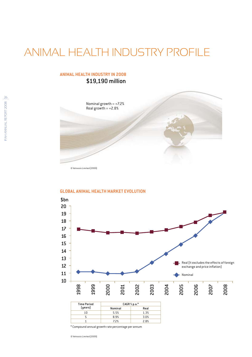# Animal health industry profile

### **Animal Health Industry in 2008** \$19,190 million



© Vetnosis Limited (2009)



**Global Animal Health Market Evolution**

\* Compound annual growth rate percentage per annum

© Vetnosis Limited (2009)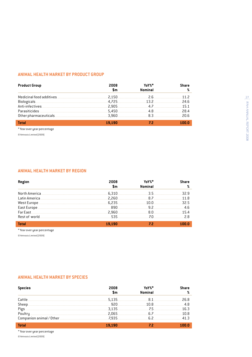#### **Animal Health Market by Product Group**

| <b>Product Group</b> | 2008   | YoY%*          | <b>Share</b> |
|----------------------|--------|----------------|--------------|
|                      | \$m    | <b>Nominal</b> |              |
|                      |        |                | 11.2         |
|                      |        |                | .24.6        |
|                      |        |                | .15.1        |
|                      |        |                | 28.4         |
|                      |        |                | .20.6        |
| <b>Total</b>         | 19.190 |                | 100.0        |

\* Year over year percentage

© Vetnosis Limited (2009)

I

#### **Animal Health Market by Region**

| Region       | 2008<br>\$m | YoY%*<br><b>Nominal</b> | <b>Share</b> |
|--------------|-------------|-------------------------|--------------|
|              |             |                         | 32.9         |
|              |             |                         |              |
|              |             |                         | 32.5         |
|              |             |                         | $-4.6$       |
|              |             |                         | 15.4         |
|              |             |                         |              |
| <b>Total</b> | 19.190      |                         |              |

\* Year over year percentage

© Vetnosis Limited (2009)

#### **Animal Health Market by Species**

| <b>Species</b> | 2008<br>\$m | YoY%*<br><b>Nominal</b> | Share |
|----------------|-------------|-------------------------|-------|
| Cattle.        | 5.135       | <b>81</b>               | .26.8 |
|                | …920.       | 10.8                    | 4.8   |
|                | 3,135       | $75$ and $75$           | .16.3 |
|                |             |                         | .10.8 |
|                |             |                         | .41.3 |
| <b>Total</b>   | 19.190      | 72                      |       |

IFAH annual report 2008

**IFAH ANNUAL REPORT 2008** 

 $27$ 

\* Year over year percentage

© Vetnosis Limited (2009)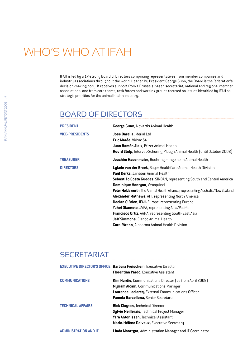# Who's who at IFAH

IFAH is led by a 17-strong Board of Directors comprising representatives from member companies and industry associations throughout the world. Headed by President George Gunn, the Board is the federation's decision-making body. It receives support from a Brussels-based secretariat, national and regional member associations, and from core teams, task forces and working groups focused on issues identified by IFAH as strategic priorities for the animal health industry.

### Board of Directors

| <b>George Gunn, Novartis Animal Health</b>                                                                                                                                                                                                                                                                                                                                                                                                                                                                                                                                                                        |
|-------------------------------------------------------------------------------------------------------------------------------------------------------------------------------------------------------------------------------------------------------------------------------------------------------------------------------------------------------------------------------------------------------------------------------------------------------------------------------------------------------------------------------------------------------------------------------------------------------------------|
| Jose Barella, Merial Ltd<br>Eric Marée, Virbac SA<br>Juan Ramón Alaix, Pfizer Animal Health<br><b>Ruurd Stolp, Intervet/Schering-Plough Animal Health (until October 2008)</b>                                                                                                                                                                                                                                                                                                                                                                                                                                    |
| Joachim Hasenmaier, Boehringer Ingelheim Animal Health                                                                                                                                                                                                                                                                                                                                                                                                                                                                                                                                                            |
| Lykele van der Broek, Bayer HealthCare Animal Health Division<br>Paul Derks, Janssen Animal Health<br>Sebastião Costa Guedes, SINDAN, representing South and Central America<br>Dominique Henryon, Vétoquinol<br>Peter Holdsworth, The Animal Health Alliance, representing Australia/New Zealand<br>Alexander Mathews, AHI, representing North America<br>Declan O'Brien, IFAH-Europe, representing Europe<br>Yuhei Okamoto, JVPA, representing Asia/Pacific<br>Francisco Ortiz, AAHA, representing South-East Asia<br>Jeff Simmons, Elanco Animal Health<br><b>Carol Wrenn, Alpharma Animal Health Division</b> |
|                                                                                                                                                                                                                                                                                                                                                                                                                                                                                                                                                                                                                   |

### **SECRETARIAT**

|                          | <b>EXECUTIVE DIRECTOR'S OFFICE Barbara Freischem, Executive Director</b><br><b>Florentina Pardo, Executive Assistant</b>                                                                       |
|--------------------------|------------------------------------------------------------------------------------------------------------------------------------------------------------------------------------------------|
| <b>COMMUNICATIONS</b>    | Kim Hardie, Communications Director (as from April 2009)<br>Myriam Alcain, Communications Manager<br>Laurence Leclercq, External Communications Officer<br>Pamela Barcellona, Senior Secretary |
| <b>TECHNICAL AFFAIRS</b> | <b>Rick Clayton, Technical Director</b><br>Sylvie Meillerais, Technical Project Manager<br>Yara Antonissen, Technical Assistant<br>Marie-Hélène Delvaux, Executive Secretary                   |
| ADMINISTRATION AND IT    | <b>Linda Moortgat, Administration Manager and IT Coordinator</b>                                                                                                                               |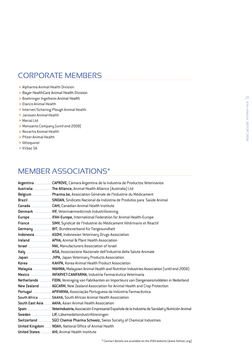### Corporate Members

- E Alpharma Animal Health Division
- Bayer HealthCare Animal Health Division
- Boehringer Ingelheim Animal Health
- $\blacktriangleright$  Elanco Animal Health
- **E** Intervet/Schering-Plough Animal Health
- $\blacktriangleright$  Janssen Animal Health
- ▶ Merial Ltd
- E Monsanto Company (until end 2008)
- $\blacktriangleright$  Novartis Animal Health
- **P** Pfizer Animal Health
- E Vétoquinol
- ▶ Virbac SA

### Member Associations\*

| Australia  The Alliance, Animal Health Alliance (Australia) Ltd                                  |
|--------------------------------------------------------------------------------------------------|
|                                                                                                  |
|                                                                                                  |
|                                                                                                  |
|                                                                                                  |
| Europe  IFAH-Europe, International Federation for Animal Health-Europe                           |
| France  SIMV, Syndicat de l'Industrie du Médicament Vétérinaire et Réactif                       |
| Germany  BfT, Bundesverband für Tiergesundheit                                                   |
|                                                                                                  |
|                                                                                                  |
|                                                                                                  |
|                                                                                                  |
|                                                                                                  |
|                                                                                                  |
| Malaysia  MAHNIA, Malaysian Animal Health and Nutrition Industries Association (until end 2008)  |
|                                                                                                  |
| Netherlands  FIDIN, Vereniging van Fabrikanten en Importeurs van Diergeneesmiddelen in Nederland |
| New Zealand  AGCARM, New Zealand Association for Animal Health and Crop Protection               |
| Portugal  APIFARMA, Associação Portuguesa da Indústria Farmacêutica                              |
| South Africa  SAAHA, South African Animal Health Association                                     |
| South East Asia  AAHA, Asian Animal Health Association                                           |
|                                                                                                  |
|                                                                                                  |
| Switzerland  SGCI Chemie Pharma Schweiz, Swiss Society of Chemical Industries                    |
| United Kingdom  NOAH, National Office of Animal Health                                           |
| United States  AHI, Animal Health Institute                                                      |

\* Contact details are available on the IFAH website (www.ifahsec.org)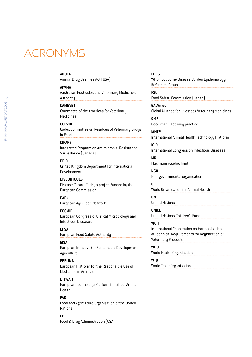## **ACRONYMS**

#### **ADUFA**

Animal Drug User Fee Act (USA)

#### **APVMA**

Australian Pesticides and Veterinary Medicines Authority

#### **CAMEVET**

Committee of the Americas for Veterinary Medicines

#### **CCRVDF**

Codex Committee on Residues of Veterinary Drugs in Food

#### **CIPARS**

Integrated Program on Antimicrobial Resistance Surveillance (Canada)

#### **DFID**

United Kingdom Department for International Development

**DISCONTOOLS** Disease Control Tools, a project funded by the European Commission

#### **EAFN**

European Agri-Food Network

#### **ECCMID**

European Congress of Clinical Microbiology and Infectious Diseases

#### **EFSA**

European Food Safety Authority

#### **EISA**

European Initiative for Sustainable Development in Agriculture

#### **EPRUMA**

European Platform for the Responsible Use of Medicines in Animals

#### **ETPGAH**

European Technology Platform for Global Animal Health

#### **FAO**

Food and Agriculture Organisation of the United Nations

#### **FDE**

Food & Drug Administration (USA)

#### **FERG**

WHO Foodborne Disease Burden Epidemiology Reference Group

**FSC** Food Safety Commission (Japan)

**GALVmed** Global Alliance for Livestock Veterinary Medicines

**GMP** Good manufacturing practice

**IAHTP** International Animal Health Technology Platform

**ICID** International Congress on Infectious Diseases

**MRL** Maximum residue limit

**NGO** Non-governmental organisation

**OIE** World Organisation for Animal Health

#### **UN**

United Nations

**UNICEF** United Nations Children's Fund

#### **VICH**

International Cooperation on Harmonisation of Technical Requirements for Registration of Veterinary Products

#### **WHO**

World Health Organisation

#### **WTO**

World Trade Organisation